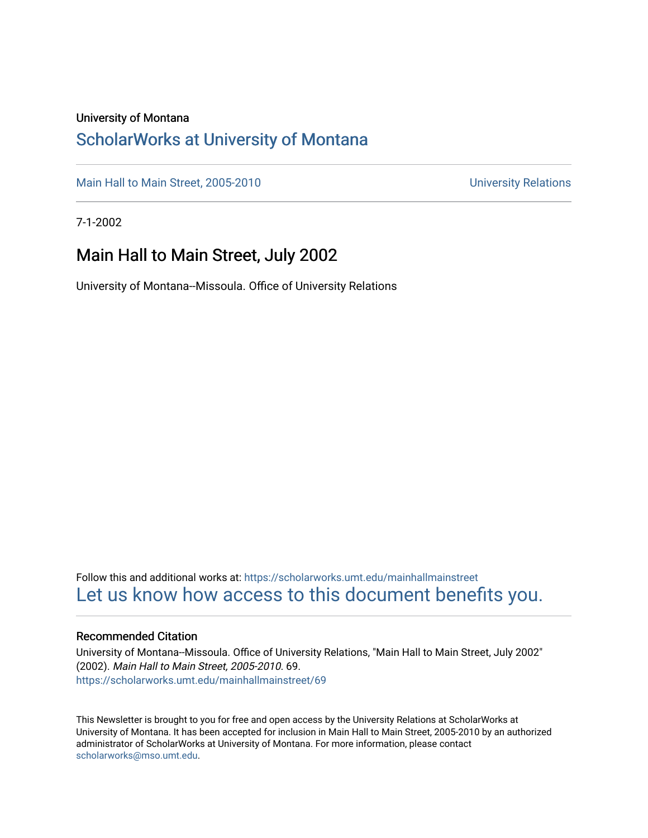#### University of Montana

### [ScholarWorks at University of Montana](https://scholarworks.umt.edu/)

[Main Hall to Main Street, 2005-2010](https://scholarworks.umt.edu/mainhallmainstreet) Main Hall to Main Street, 2005-2010

7-1-2002

### Main Hall to Main Street, July 2002

University of Montana--Missoula. Office of University Relations

Follow this and additional works at: [https://scholarworks.umt.edu/mainhallmainstreet](https://scholarworks.umt.edu/mainhallmainstreet?utm_source=scholarworks.umt.edu%2Fmainhallmainstreet%2F69&utm_medium=PDF&utm_campaign=PDFCoverPages) [Let us know how access to this document benefits you.](https://goo.gl/forms/s2rGfXOLzz71qgsB2) 

#### Recommended Citation

University of Montana--Missoula. Office of University Relations, "Main Hall to Main Street, July 2002" (2002). Main Hall to Main Street, 2005-2010. 69. [https://scholarworks.umt.edu/mainhallmainstreet/69](https://scholarworks.umt.edu/mainhallmainstreet/69?utm_source=scholarworks.umt.edu%2Fmainhallmainstreet%2F69&utm_medium=PDF&utm_campaign=PDFCoverPages) 

This Newsletter is brought to you for free and open access by the University Relations at ScholarWorks at University of Montana. It has been accepted for inclusion in Main Hall to Main Street, 2005-2010 by an authorized administrator of ScholarWorks at University of Montana. For more information, please contact [scholarworks@mso.umt.edu.](mailto:scholarworks@mso.umt.edu)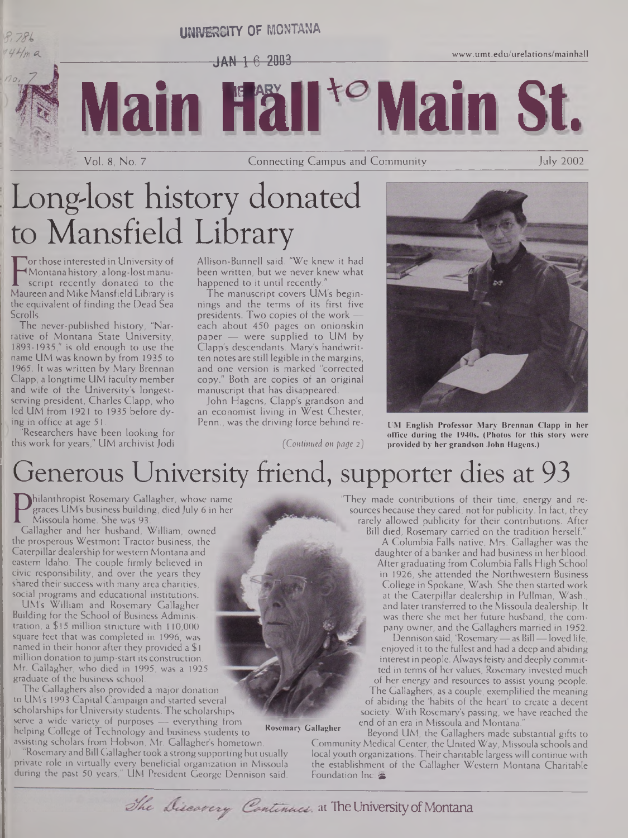

# Long-lost history donated to Mansfield Library

From an anstory, along-tost mana-<br>Script recently donated to the<br>the original Mike Minutes Dead Sec or those interested in University of Montana history, a long-lostmanuscript recently donated to the the equivalent of finding the Dead Sea Scrolls.

The never-published history, "Narrative of Montana State University, 1893-1935," is old enough to use the name UM was known by from 1935 to 1965. It was written by Mary Brennan Clapp, a longtime UM faculty member and wife of the University's longestserving president, Charles Clapp, who led UM from 1921 to 1935 before dying in office at age 51.

Researchers have been looking for this work for years," UM archivist Jodi Allison-Bunnell said. "We knew it had been written, but we never knew what happened to it until recently.

The manuscript covers UM's beginnings and the terms of its first five presidents. Two copies of the work each about 450 pages on onionskin paper — were supplied to UM by Clapp's descendants. Mary's handwritten notes are still legible in the margins, and one version is marked "corrected copy." Both are copies of an original manuscript that has disappeared.

John Hagens, Clapp's grandson and an economist living in West Chester, Penn., was the driving force behind re-

*(Continued* oh *page* 2J

**UM English Professor Mary Brennan Clapp in her office during the 1940s. (Photos for this story were provided by her grandson John Hagens.)**

# Generous University friend, supporter dies at 93

**Peraces UM's business building, died July 6 in**<br>Missoula home. She was 93.<br>Gallagher and her husband, William, owned hilanthropist Rosemary Gallagher, whose name graces UM's business building, died July 6 in her Missoula home. She was 93.

the prosperous Westmont Tractor business, the Caterpillar dealership forwestern Montana and eastern Idaho. The couple firmly believed in civic responsibility, and over the years they shared their success with many area charities, social programs and educational institutions.

UM's William and Rosemary Gallagher Building for the School of Business Administration, a \$15 million structure with 110,000 square feet that was completed in 1996, was named in their honor after they provided a \$ <sup>1</sup> million donation to jump-start its construction. Mr. Gallagher, who died in 1995, was a 1925 graduate of the business school.

The Gallaghers also provided a major donation to UM's 1993 Capital Campaign and started several scholarships for University students. The scholarships serve a wide variety of purposes — everything from helping College of Technology and business students to assisting scholars from Hobson, Mr. Gallagher's hometown.

Rosemary and Bill Gallagher took a strong supporting but usually private role in virtually every beneficial organization in Missoula during the past 50 years," UM President George Dennison said.

"They made contributions of their time, energy and resources because they cared, not for publicity. In fact, they rarely allowed publicity for their contributions. After Bill died, Rosemary carried on the tradition herself."

A Columbia Falls native, Mrs. Gallagher was the daughter of a banker and had business in her blood. After graduating from Columbia Falls High School in 1926, she attended the Northwestern Business College in Spokane, Wash. She then started work at the Caterpillar dealership in Pullman, Wash., and later transferred to the Missoula dealership. It was there she met her future husband, the company owner, and the Gallaghers married in 1952.

Dennison said, "Rosemary — as Bill — loved life, enjoyed it to the fullest and had a deep and abiding interest in people. Always feisty and deeply committed in terms of her values, Rosemary invested much of her energy and resources to assist young people. The Gallaghers, as a couple, exemplified the meaning of abiding the 'habits of the heart' to create a decent society. With Rosemary's passing, we have reached the end of an era in Missoula and Montana.

**Rosemary Gallagher** Beyond UM, the Gallaghers made substantial gifts to Community Medical Center, the United Way, Missoula schools and local youth organizations. Their charitable largess will continue with the establishment of the Gallagher Western Montana Charitable Foundation Inc. &

The Discovery Continues. at The University of Montana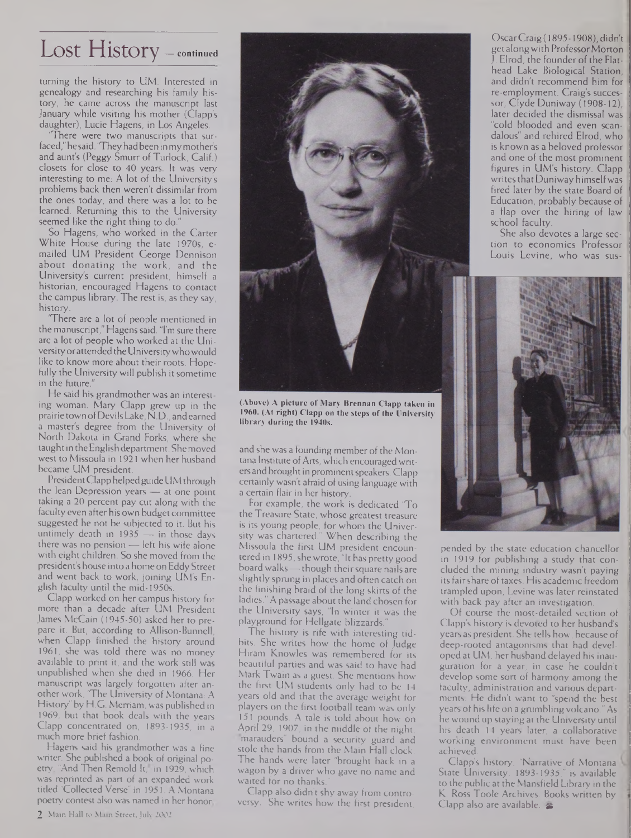## Lost History — **continued**

turning the history to UM. Interested in genealogy and researching his family history, he came across the manuscript last January while visiting his mother (Clapp's daughter), Lucie Hagens, in Los Angeles.

There were two manuscripts that surfaced,"hesaid. "Theyhadbeen in mymother's and aunt's (Peggy Smurr of Turlock, Calif.) closets for close to 40 years. It was very interesting to me: A lot of the University's problems back then weren't dissimilar from the ones today, and there was a lot to be learned. Returning this to the University seemed like the right thing to do."

So Hagens, who worked in the Carter White House during the late 1970s, emailed UM President George Dennison about donating the work, and the University's current president, himself a historian, encouraged Hagens to contact the campus library. The rest is, as they say, history.

There are a lot of people mentioned in the manuscript," Hagens said. "I'm sure there are a lot of people who worked at the University or attended the University who would like to know more about their roots. Hopefully the University will publish it sometime in the future."

He said his grandmother was an interesting woman. Mary Clapp grew up in the prairie town ofDevilsLake, N.D., andearned a master's degree from the University of North Dakota in Grand Forks, where she taughtin theEnglish department. Shemoved west to Missoula in 1921 when her husband became UM president.

President Clapphelped guide UM through the lean Depression years — at one point taking a 20 percent pay cut along with the faculty even after his own budget committee suggested he not be subjected to it. But his untimely death in 1935 — in those days there was no pension — left his wife alone with eight children. So she moved from the president's house into a home on Eddy Street and went back to work, joining UM's English faculty until the mid-1950s.

Clapp worked on her campus history for more than a decade after UM President James McCain (1945-50) asked her to prepare it. But, according to Allison-Bunnell, when Clapp finished the history around 1961, she was told there was no money available to print it, and the work still was unpublished when she died in 1966. Her manuscript was largely forgotten after another work, "The University of Montana: A History" by H.G. Merriam, was published in 1969, but that book deals with the years Clapp concentrated on, 1893-1935, in a much more brief fashion.

Hagens said his grandmother was a fine writer. She published a book of original poetry, "And Then Remold It," in 1929, which was reprinted as part of an expanded work titled "Collected Verse" in 1951. A Montana poetry contest also was named in her honor,



**(Above) A picture of Mary Brennan Clapp taken in 1960. (At right) Clapp on the steps of the University library during the 1940s.**

and she was a founding member of the Montana Institute of Arts, which encouraged writers and brought in prominent speakers. Clapp certainly wasn't afraid of using language with a certain flair in her history.

For example, the work is dedicated 'To the Treasure State, whose greatest treasure is its young people, for whom the University was chartered." When describing the Missoula the first UM president encountered in 1895, she wrote, "It has pretty good boardwalks—though theirsquare nails are slightly sprung in places and often catch on the finishing braid of the long skirts of the ladies." A passage about the land chosen for the University says, "In winter it was the playground for Hellgate blizzards."

The history is rife with interesting tidbits. She writes how the home of Judge Hiram Knowles was remembered for its beautiful parties and was said to have had Mark Twain as a guest. She mentions how the first UM students only had to be 14 years old and that the average weight for players on the first football team was only 151 pounds. A tale is told about how on April 29, 1907, in the middle of the night, marauders" bound a security guard and stole the hands from the Main Hall clock. The hands were later "brought back in a wagon by a driver who gave no name and waited for no thanks.

Clapp also didn't shy away from controversy. She writes how the first president,

OscarCraig (1895-1908), didn't getalongwith ProfessorMorton J. Elrod, the founder of the Flathead Lake Biological Station, and didn't recommend him for re-employment. Craig's successor, Clyde Duniway (1908-12), later decided the dismissal was "cold blooded and even scandalous" and rehired Elrod, who is known as a beloved professor and one of the most prominent figures in UM's history. Clapp writes that Duniway himself was fired later by the state Board of Education, probably because of a flap over the hiring of law school faculty.

She also devotes a large section to economics Professor Louis Levine, who was sus-



pended by the state education chancellor in 1919 for publishing a study that concluded the mining industry wasn't paying its fair share of taxes. His academic freedom trampled upon, Levine was later reinstated with back pay after an investigation.

Of course the most-detailed section of Clapp's history is devoted to her husband's years as president. She tells how, because of deep-rooted antagonisms that had developed at UM, her husband delayed his inauguration for a year, in case he couldn't develop some sort of harmony among the faculty, administration and various departments. He didn't want to "spend the best years of his life on a grumbling volcano." As he wound up staying at the University until his death 14 years later, a collaborative working environment must have been achieved.

Clapp's history, "Narrative of Montana State University, 1893-1935," is available to the public at the Mansfield Library in the K. Ross Toole Archives. Books written by Clapp also are available.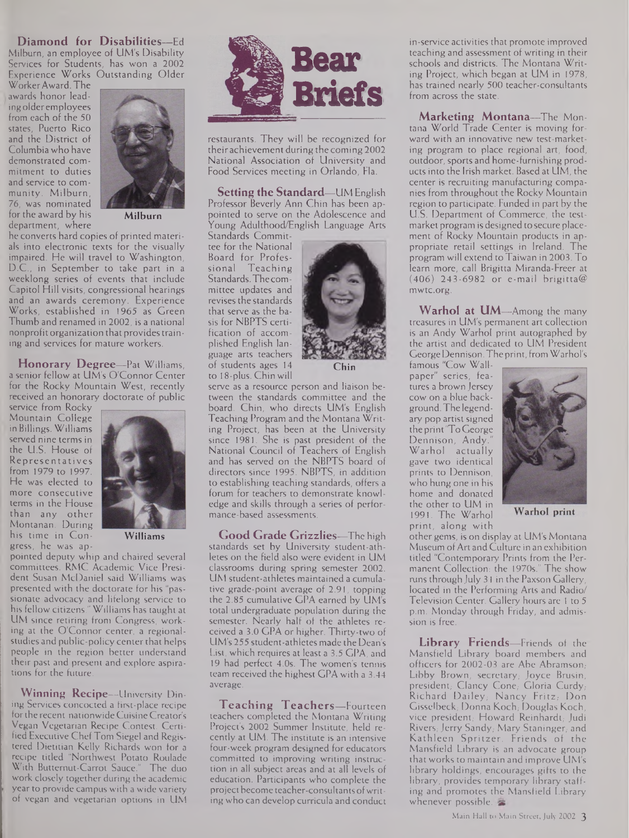**Diamond for Disabilities—**Ed Milburn, an employee of UM's Disability Services for Students, has won a 2002 Experience Works Outstanding Older

WorkerAward. The awards honor leadingolderemployees from each of the 50 states, Puerto Rico and the District of Columbia who have demonstrated commitment to duties and service to community. Milburn, 76, was nominated for the award by his department, where



**Milburn**

he converts hard copies of printed materials into electronic texts for the visually impaired. He will travel to Washington, D.C., in September to take part in a weeklong series of events that include Capitol Hill visits, congressional hearings and an awards ceremony. Experience Works, established in 1965 as Green Thumb and renamed in 2002, is a national nonprofit organization that provides training and services for mature workers.

**Honorary Degree—**Pat Williams, a senior fellow at UM's O'Connor Center for the Rocky Mountain West, recently received an honorary doctorate of public

service from Rocky Mountain College in Billings. Williams served nine terms in the U.S. House of Representatives from 1979 to 1997. He was elected to more consecutive terms in the House than any other Montanan. During his time in Congress, he was ap-



**Williams**

pointed deputy whip and chaired several committees. RMC Academic Vice President Susan McDaniel said Williams was presented with the doctorate for his "passionate advocacy and lifelong service to his fellow citizens." Williams has taught at UM since retiring from Congress, working at the O'Connor center, a regionalstudies and public-policy center that helps people in the region better understand their past and present and explore aspirations for the future.

**Winning Recipe—**University Dining Services concocted a first-place recipe forthe recent nationwide Cuisine Creator's Vegan Vegetarian Recipe Contest. Certified Executive ChefTom Siegel and Registered Dietitian Kelly Richards won for a recipe titled "Northwest Potato Roulade With Butternut-Carrot Sauce." The duo work closely together during the academic year to provide campus with a wide variety of vegan and vegetarian options in UM



restaurants. They will be recognized for theirachievement during the coming 2002 National Association of University and Food Services meeting in Orlando, Fla.

**Setting the Standard—**UM English Professor Beverly Ann Chin has been appointed to serve on the Adolescence and Young Adulthood/English Language Arts

Standards Committee for the National Board for Profes-<br>sional Teaching Teaching Standards.Thecommittee updates and revises the standards that serve as the basis for NBPTS certification of accomplished English language arts teachers of students ages 14 to 18-plus. Chin will



serve as a resource person and liaison between the standards committee and the board. Chin, who directs UM's English Teaching Program and the Montana Writing Project, has been at the University since 1981. She is past president of the National Council of Teachers of English and has served on the NBPTS board of directors since 1995. NBPTS, in addition to establishing teaching standards, offers a forum for teachers to demonstrate knowledge and skills through a series of performance-based assessments.

**Good Grade Grizzlies—**The high standards set by University student-athletes on the field also were evident in UM classrooms during spring semester 2002. UM student-athletes maintained a cumulative grade-point average of 2.91, topping the 2.85 cumulative GPA earned by UM's total undergraduate population during the semester. Nearly half of the athletes received a 3.0 GPA or higher. Thirty-two of UM's 255 student-athletes made the Dean's List, which requires at least a 3.5 GPA, and 19 had perfect 4.0s. The women's tennis team received the highest GPA with a 3.44 average.

**Teaching Teachers—**Fourteen teachers completed the Montana Writing Project's 2002 Summer Institute, held recently at UM. The institute is an intensive four-week program designed for educators committed to improving writing instruction in all subject areas and at all levels of education. Participants who complete the project become teacher-consultantsofwriting who can develop curricula and conduct

in-service activities that promote improved teaching and assessment of writing in their schools and districts. The Montana Writing Project, which began at UM in 1978, has trained nearly 500 teacher-consultants from across the state.

**Marketing Montana—**The Montana World Trade Center is moving forward with an innovative new test-marketing program to place regional art, food, outdoor, sports and home-furnishing products into the Irish market. Based at UM, the center is recruiting manufacturing companies from throughout the Rocky Mountain region to participate. Funded in part by the U.S. Department of Commerce, the testmarket program is designed to secure placement of Rocky Mountain products in appropriate retail settings in Ireland. The program will extend to Taiwan in 2003. To learn more, call Brigitta Miranda-Freer at (406) 243-6982 or e-mail brigitta@ <mwtc.org>.

**Warhol at UM—**Among the many treasures in UM's permanent art collection is an Andy Warhol print autographed by the artist and dedicated to UM President GeorgeDennison.The print, from Warhol's

famous "Cow Wallpaper" series, features a brown Jersey cow on a blue background.The legendary pop artist signed the print'To George Dennison, Andy. Warhol actually gave two identical prints to Dennison, who hung one in his home and donated the other to UM in 1991. The Warhol print, along with



Warhol print

other gems, is on display at UM's Montana Museum ofArt and Culture in an exhibition titled "Contemporary Prints from the Permanent Collection: the 1970s." The show runs through July 31 in the Paxson Gallery, located in the Performing Arts and Radio/ Television Center. Gallery hours are <sup>1</sup> to 5 p.m. Monday through Friday, and admission is free.

**Library Friends—**Friends of the Mansfield Library board members and officers for 2002-03 are Abe Abramson, Libby Brown, secretary, Joyce Brusin, president, Clancy Cone, Gloria Curdy, Richard Dailey, Nancy Fritz, Don Gisselbeck, Donna Koch, Douglas Koch, vice president, Howard Reinhardt, Judi Rivers, Jerry Sandy, Mary Staninger, and Kathleen Spritzer. Friends of the Mansfield Library is an advocate group that works to maintain and improve UM's library holdings, encourages gifts to the library, provides temporary library staffing and promotes the Mansfield Library whenever possible.